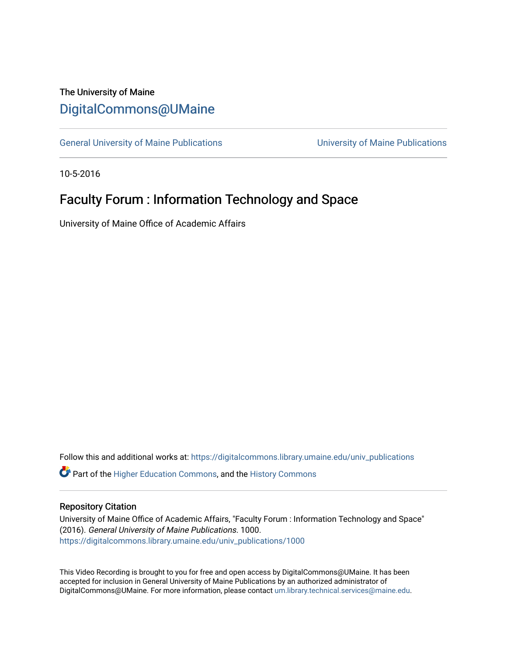## The University of Maine [DigitalCommons@UMaine](https://digitalcommons.library.umaine.edu/)

[General University of Maine Publications](https://digitalcommons.library.umaine.edu/univ_publications) [University of Maine Publications](https://digitalcommons.library.umaine.edu/umaine_publications) 

10-5-2016

## Faculty Forum : Information Technology and Space

University of Maine Office of Academic Affairs

Follow this and additional works at: [https://digitalcommons.library.umaine.edu/univ\\_publications](https://digitalcommons.library.umaine.edu/univ_publications?utm_source=digitalcommons.library.umaine.edu%2Funiv_publications%2F1000&utm_medium=PDF&utm_campaign=PDFCoverPages) 

**C** Part of the [Higher Education Commons,](http://network.bepress.com/hgg/discipline/1245?utm_source=digitalcommons.library.umaine.edu%2Funiv_publications%2F1000&utm_medium=PDF&utm_campaign=PDFCoverPages) and the [History Commons](http://network.bepress.com/hgg/discipline/489?utm_source=digitalcommons.library.umaine.edu%2Funiv_publications%2F1000&utm_medium=PDF&utm_campaign=PDFCoverPages)

## Repository Citation

University of Maine Office of Academic Affairs, "Faculty Forum : Information Technology and Space" (2016). General University of Maine Publications. 1000. [https://digitalcommons.library.umaine.edu/univ\\_publications/1000](https://digitalcommons.library.umaine.edu/univ_publications/1000?utm_source=digitalcommons.library.umaine.edu%2Funiv_publications%2F1000&utm_medium=PDF&utm_campaign=PDFCoverPages)

This Video Recording is brought to you for free and open access by DigitalCommons@UMaine. It has been accepted for inclusion in General University of Maine Publications by an authorized administrator of DigitalCommons@UMaine. For more information, please contact [um.library.technical.services@maine.edu](mailto:um.library.technical.services@maine.edu).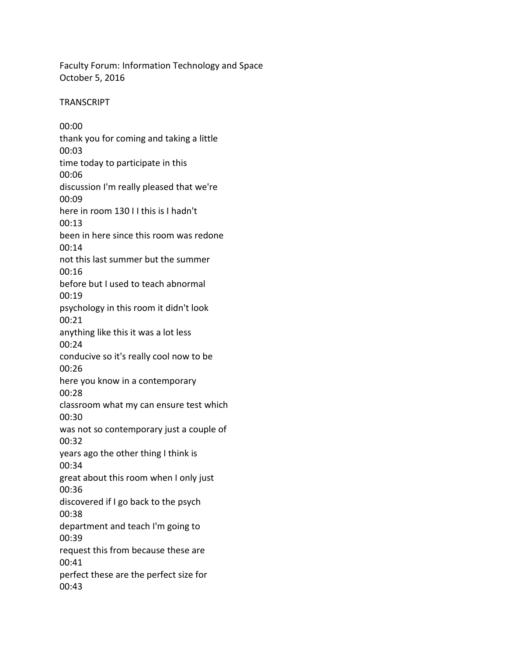Faculty Forum: Information Technology and Space October 5, 2016

**TRANSCRIPT** 

00:00 thank you for coming and taking a little 00:03 time today to participate in this 00:06 discussion I'm really pleased that we're 00:09 here in room 130 I I this is I hadn't 00:13 been in here since this room was redone 00:14 not this last summer but the summer 00:16 before but I used to teach abnormal 00:19 psychology in this room it didn't look 00:21 anything like this it was a lot less 00:24 conducive so it's really cool now to be 00:26 here you know in a contemporary 00:28 classroom what my can ensure test which 00:30 was not so contemporary just a couple of 00:32 years ago the other thing I think is 00:34 great about this room when I only just 00:36 discovered if I go back to the psych 00:38 department and teach I'm going to 00:39 request this from because these are 00:41 perfect these are the perfect size for 00:43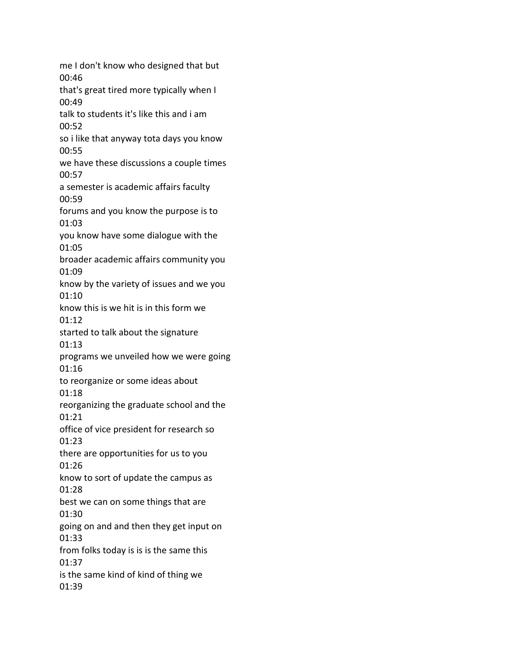me I don't know who designed that but 00:46 that's great tired more typically when I 00:49 talk to students it's like this and i am 00:52 so i like that anyway tota days you know 00:55 we have these discussions a couple times 00:57 a semester is academic affairs faculty 00:59 forums and you know the purpose is to 01:03 you know have some dialogue with the 01:05 broader academic affairs community you 01:09 know by the variety of issues and we you 01:10 know this is we hit is in this form we 01:12 started to talk about the signature 01:13 programs we unveiled how we were going 01:16 to reorganize or some ideas about 01:18 reorganizing the graduate school and the 01:21 office of vice president for research so 01:23 there are opportunities for us to you 01:26 know to sort of update the campus as 01:28 best we can on some things that are 01:30 going on and and then they get input on 01:33 from folks today is is is the same this 01:37 is the same kind of kind of thing we 01:39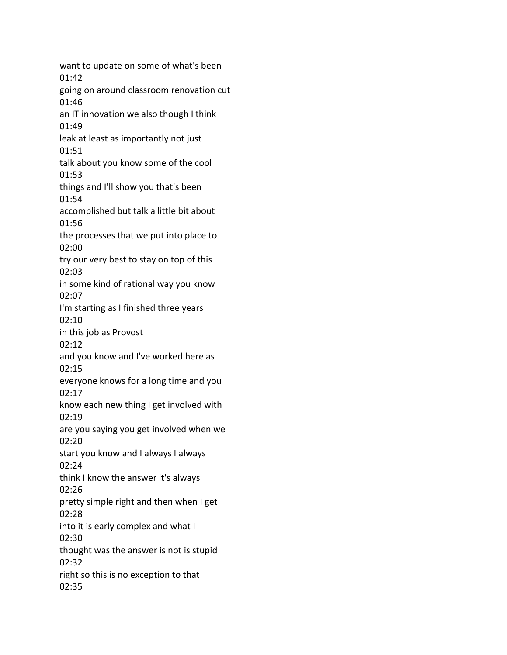want to update on some of what's been 01:42 going on around classroom renovation cut 01:46 an IT innovation we also though I think 01:49 leak at least as importantly not just 01:51 talk about you know some of the cool 01:53 things and I'll show you that's been 01:54 accomplished but talk a little bit about 01:56 the processes that we put into place to 02:00 try our very best to stay on top of this 02:03 in some kind of rational way you know 02:07 I'm starting as I finished three years 02:10 in this job as Provost 02:12 and you know and I've worked here as 02:15 everyone knows for a long time and you 02:17 know each new thing I get involved with 02:19 are you saying you get involved when we 02:20 start you know and I always I always 02:24 think I know the answer it's always 02:26 pretty simple right and then when I get 02:28 into it is early complex and what I 02:30 thought was the answer is not is stupid 02:32 right so this is no exception to that 02:35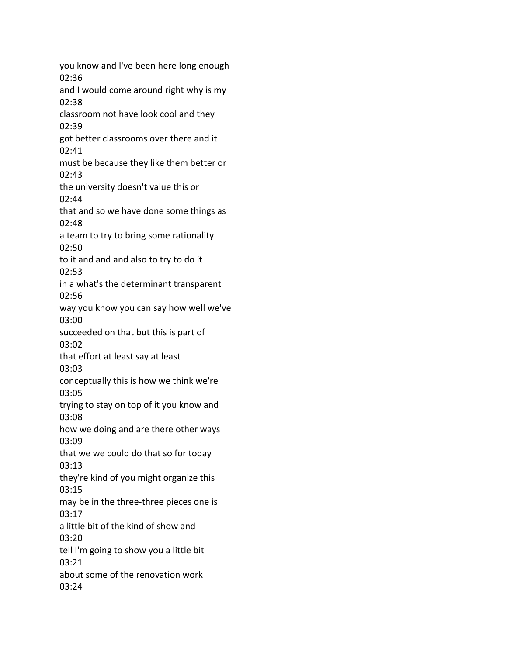you know and I've been here long enough 02:36 and I would come around right why is my 02:38 classroom not have look cool and they 02:39 got better classrooms over there and it 02:41 must be because they like them better or 02:43 the university doesn't value this or 02:44 that and so we have done some things as 02:48 a team to try to bring some rationality 02:50 to it and and and also to try to do it 02:53 in a what's the determinant transparent 02:56 way you know you can say how well we've 03:00 succeeded on that but this is part of 03:02 that effort at least say at least 03:03 conceptually this is how we think we're 03:05 trying to stay on top of it you know and 03:08 how we doing and are there other ways 03:09 that we we could do that so for today 03:13 they're kind of you might organize this 03:15 may be in the three-three pieces one is 03:17 a little bit of the kind of show and 03:20 tell I'm going to show you a little bit 03:21 about some of the renovation work 03:24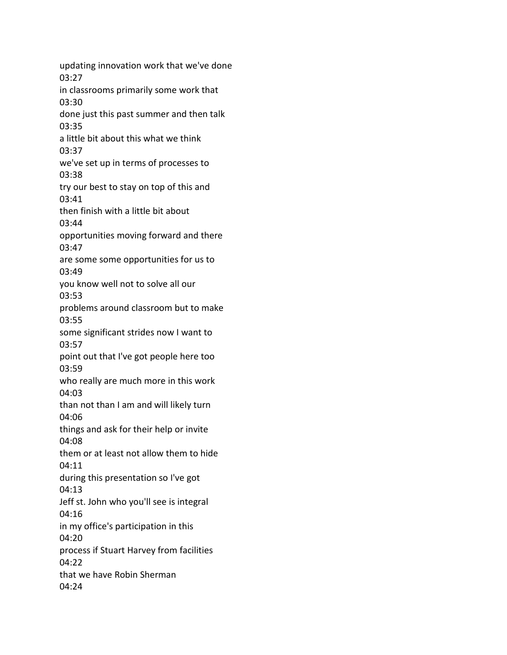updating innovation work that we've done 03:27 in classrooms primarily some work that 03:30 done just this past summer and then talk 03:35 a little bit about this what we think 03:37 we've set up in terms of processes to 03:38 try our best to stay on top of this and 03:41 then finish with a little bit about 03:44 opportunities moving forward and there 03:47 are some some opportunities for us to 03:49 you know well not to solve all our 03:53 problems around classroom but to make 03:55 some significant strides now I want to 03:57 point out that I've got people here too 03:59 who really are much more in this work 04:03 than not than I am and will likely turn 04:06 things and ask for their help or invite 04:08 them or at least not allow them to hide 04:11 during this presentation so I've got 04:13 Jeff st. John who you'll see is integral 04:16 in my office's participation in this 04:20 process if Stuart Harvey from facilities 04:22 that we have Robin Sherman 04:24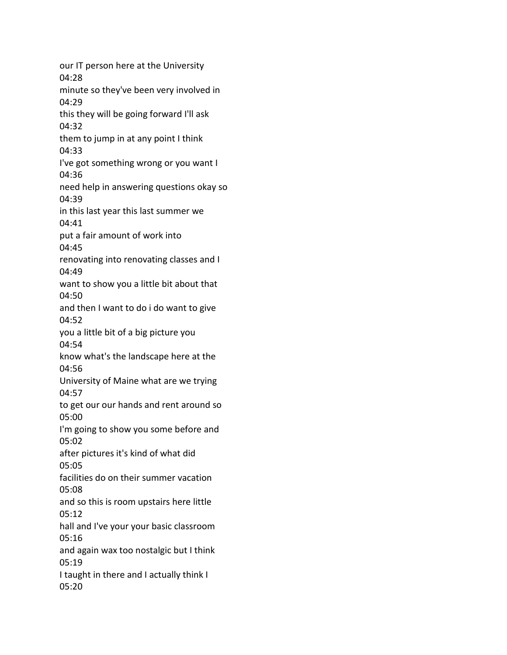our IT person here at the University 04:28 minute so they've been very involved in 04:29 this they will be going forward I'll ask 04:32 them to jump in at any point I think 04:33 I've got something wrong or you want I 04:36 need help in answering questions okay so 04:39 in this last year this last summer we 04:41 put a fair amount of work into 04:45 renovating into renovating classes and I 04:49 want to show you a little bit about that 04:50 and then I want to do i do want to give 04:52 you a little bit of a big picture you 04:54 know what's the landscape here at the 04:56 University of Maine what are we trying 04:57 to get our our hands and rent around so 05:00 I'm going to show you some before and 05:02 after pictures it's kind of what did 05:05 facilities do on their summer vacation 05:08 and so this is room upstairs here little 05:12 hall and I've your your basic classroom 05:16 and again wax too nostalgic but I think 05:19 I taught in there and I actually think I 05:20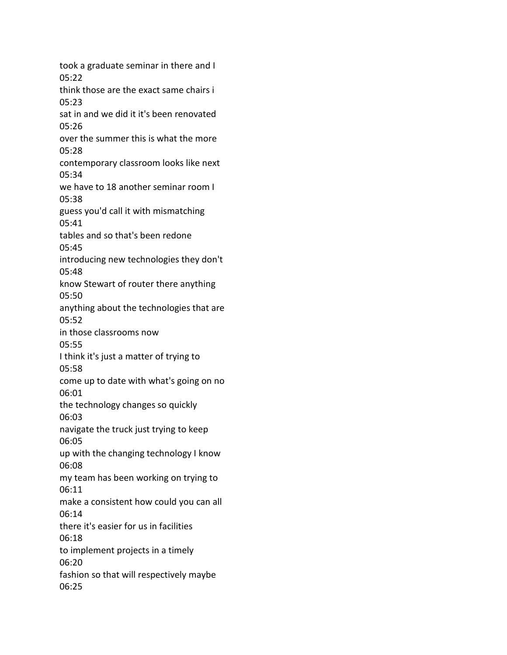took a graduate seminar in there and I 05:22 think those are the exact same chairs i 05:23 sat in and we did it it's been renovated 05:26 over the summer this is what the more 05:28 contemporary classroom looks like next 05:34 we have to 18 another seminar room I 05:38 guess you'd call it with mismatching 05:41 tables and so that's been redone 05:45 introducing new technologies they don't 05:48 know Stewart of router there anything 05:50 anything about the technologies that are 05:52 in those classrooms now 05:55 I think it's just a matter of trying to 05:58 come up to date with what's going on no 06:01 the technology changes so quickly 06:03 navigate the truck just trying to keep 06:05 up with the changing technology I know 06:08 my team has been working on trying to 06:11 make a consistent how could you can all 06:14 there it's easier for us in facilities 06:18 to implement projects in a timely 06:20 fashion so that will respectively maybe 06:25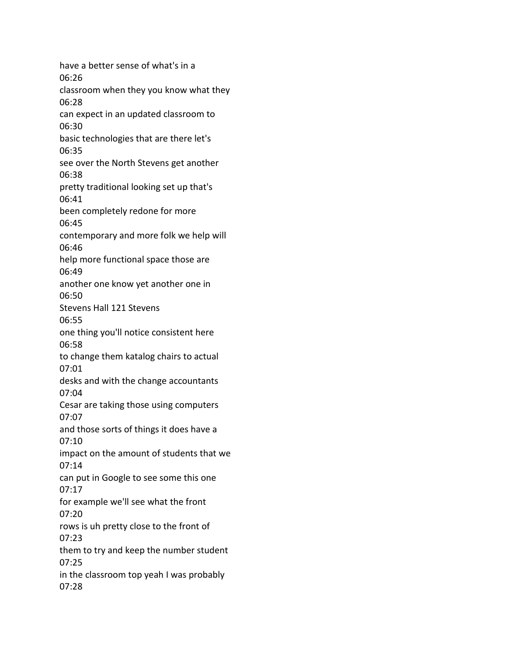have a better sense of what's in a 06:26 classroom when they you know what they 06:28 can expect in an updated classroom to 06:30 basic technologies that are there let's 06:35 see over the North Stevens get another 06:38 pretty traditional looking set up that's 06:41 been completely redone for more 06:45 contemporary and more folk we help will 06:46 help more functional space those are 06:49 another one know yet another one in 06:50 Stevens Hall 121 Stevens 06:55 one thing you'll notice consistent here 06:58 to change them katalog chairs to actual 07:01 desks and with the change accountants 07:04 Cesar are taking those using computers 07:07 and those sorts of things it does have a 07:10 impact on the amount of students that we 07:14 can put in Google to see some this one 07:17 for example we'll see what the front 07:20 rows is uh pretty close to the front of 07:23 them to try and keep the number student 07:25 in the classroom top yeah I was probably 07:28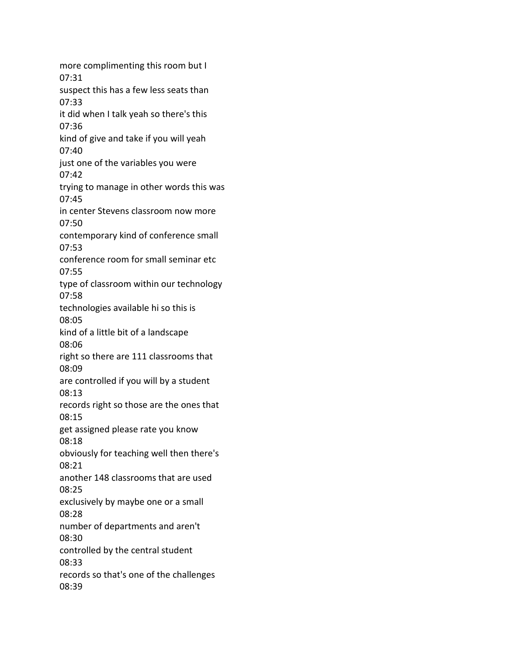more complimenting this room but I 07:31 suspect this has a few less seats than 07:33 it did when I talk yeah so there's this 07:36 kind of give and take if you will yeah 07:40 just one of the variables you were 07:42 trying to manage in other words this was 07:45 in center Stevens classroom now more 07:50 contemporary kind of conference small 07:53 conference room for small seminar etc 07:55 type of classroom within our technology 07:58 technologies available hi so this is 08:05 kind of a little bit of a landscape 08:06 right so there are 111 classrooms that 08:09 are controlled if you will by a student 08:13 records right so those are the ones that 08:15 get assigned please rate you know 08:18 obviously for teaching well then there's 08:21 another 148 classrooms that are used 08:25 exclusively by maybe one or a small 08:28 number of departments and aren't 08:30 controlled by the central student 08:33 records so that's one of the challenges 08:39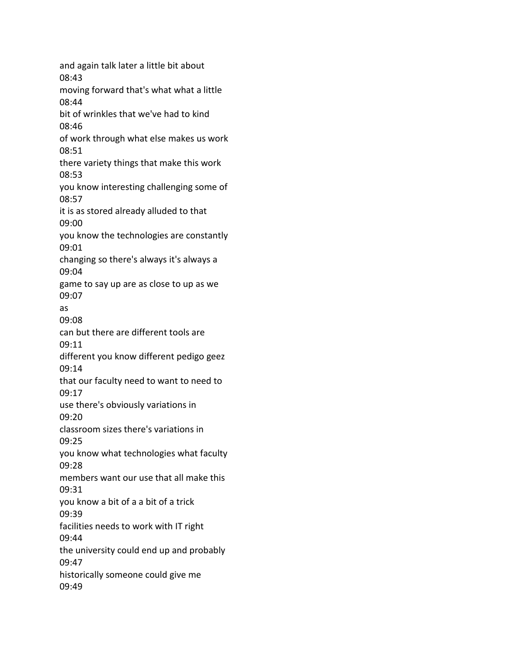and again talk later a little bit about 08:43 moving forward that's what what a little 08:44 bit of wrinkles that we've had to kind 08:46 of work through what else makes us work 08:51 there variety things that make this work 08:53 you know interesting challenging some of 08:57 it is as stored already alluded to that 09:00 you know the technologies are constantly 09:01 changing so there's always it's always a 09:04 game to say up are as close to up as we 09:07 as 09:08 can but there are different tools are 09:11 different you know different pedigo geez 09:14 that our faculty need to want to need to 09:17 use there's obviously variations in 09:20 classroom sizes there's variations in 09:25 you know what technologies what faculty 09:28 members want our use that all make this 09:31 you know a bit of a a bit of a trick 09:39 facilities needs to work with IT right 09:44 the university could end up and probably 09:47 historically someone could give me 09:49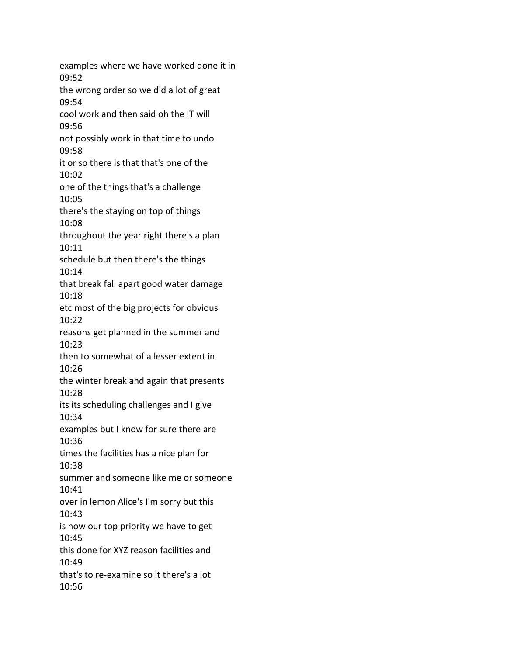examples where we have worked done it in 09:52 the wrong order so we did a lot of great 09:54 cool work and then said oh the IT will 09:56 not possibly work in that time to undo 09:58 it or so there is that that's one of the 10:02 one of the things that's a challenge 10:05 there's the staying on top of things 10:08 throughout the year right there's a plan 10:11 schedule but then there's the things 10:14 that break fall apart good water damage 10:18 etc most of the big projects for obvious 10:22 reasons get planned in the summer and 10:23 then to somewhat of a lesser extent in 10:26 the winter break and again that presents 10:28 its its scheduling challenges and I give 10:34 examples but I know for sure there are 10:36 times the facilities has a nice plan for 10:38 summer and someone like me or someone 10:41 over in lemon Alice's I'm sorry but this 10:43 is now our top priority we have to get 10:45 this done for XYZ reason facilities and 10:49 that's to re-examine so it there's a lot 10:56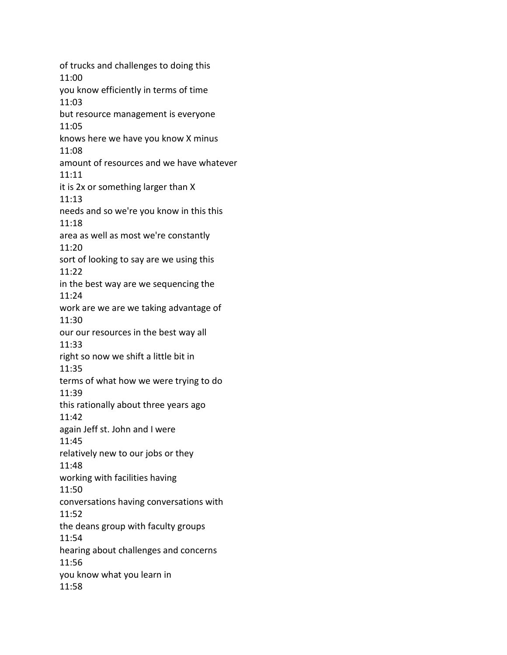of trucks and challenges to doing this 11:00 you know efficiently in terms of time 11:03 but resource management is everyone 11:05 knows here we have you know X minus 11:08 amount of resources and we have whatever 11:11 it is 2x or something larger than X 11:13 needs and so we're you know in this this 11:18 area as well as most we're constantly 11:20 sort of looking to say are we using this 11:22 in the best way are we sequencing the 11:24 work are we are we taking advantage of 11:30 our our resources in the best way all 11:33 right so now we shift a little bit in 11:35 terms of what how we were trying to do 11:39 this rationally about three years ago 11:42 again Jeff st. John and I were 11:45 relatively new to our jobs or they 11:48 working with facilities having 11:50 conversations having conversations with 11:52 the deans group with faculty groups 11:54 hearing about challenges and concerns 11:56 you know what you learn in 11:58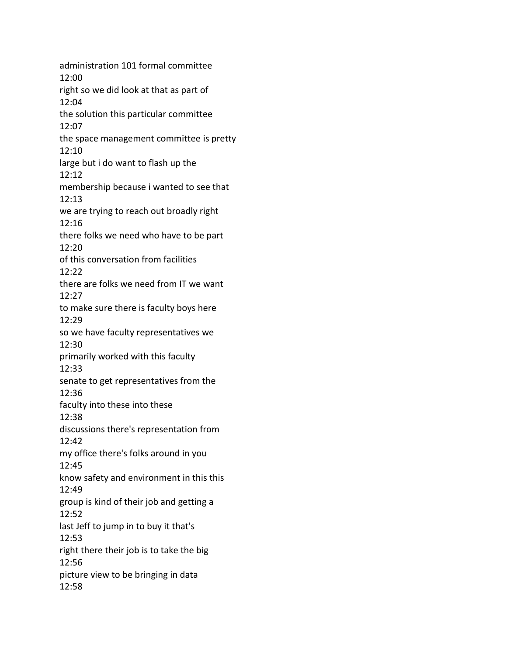administration 101 formal committee 12:00 right so we did look at that as part of 12:04 the solution this particular committee 12:07 the space management committee is pretty 12:10 large but i do want to flash up the 12:12 membership because i wanted to see that 12:13 we are trying to reach out broadly right 12:16 there folks we need who have to be part 12:20 of this conversation from facilities 12:22 there are folks we need from IT we want 12:27 to make sure there is faculty boys here 12:29 so we have faculty representatives we 12:30 primarily worked with this faculty 12:33 senate to get representatives from the 12:36 faculty into these into these 12:38 discussions there's representation from 12:42 my office there's folks around in you 12:45 know safety and environment in this this 12:49 group is kind of their job and getting a 12:52 last Jeff to jump in to buy it that's 12:53 right there their job is to take the big 12:56 picture view to be bringing in data 12:58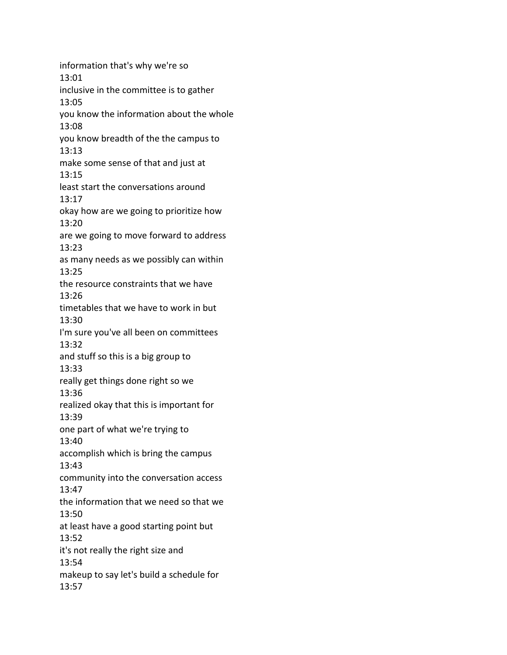information that's why we're so 13:01 inclusive in the committee is to gather 13:05 you know the information about the whole 13:08 you know breadth of the the campus to 13:13 make some sense of that and just at 13:15 least start the conversations around 13:17 okay how are we going to prioritize how 13:20 are we going to move forward to address 13:23 as many needs as we possibly can within 13:25 the resource constraints that we have 13:26 timetables that we have to work in but 13:30 I'm sure you've all been on committees 13:32 and stuff so this is a big group to 13:33 really get things done right so we 13:36 realized okay that this is important for 13:39 one part of what we're trying to 13:40 accomplish which is bring the campus 13:43 community into the conversation access 13:47 the information that we need so that we 13:50 at least have a good starting point but 13:52 it's not really the right size and 13:54 makeup to say let's build a schedule for 13:57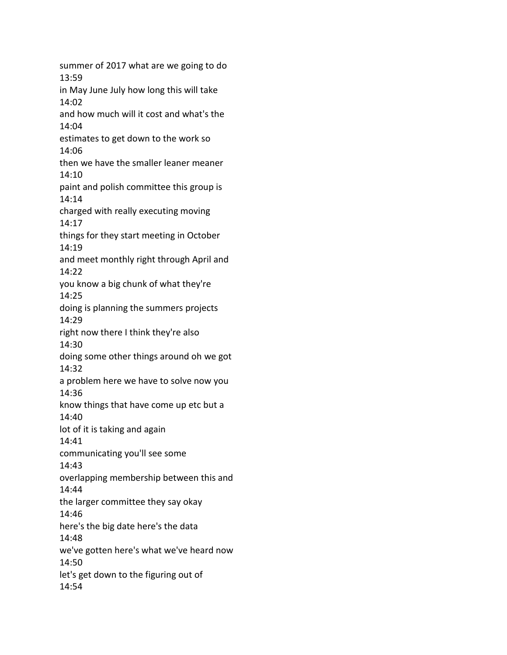summer of 2017 what are we going to do 13:59 in May June July how long this will take 14:02 and how much will it cost and what's the 14:04 estimates to get down to the work so 14:06 then we have the smaller leaner meaner 14:10 paint and polish committee this group is 14:14 charged with really executing moving 14:17 things for they start meeting in October 14:19 and meet monthly right through April and 14:22 you know a big chunk of what they're 14:25 doing is planning the summers projects 14:29 right now there I think they're also 14:30 doing some other things around oh we got 14:32 a problem here we have to solve now you 14:36 know things that have come up etc but a 14:40 lot of it is taking and again 14:41 communicating you'll see some 14:43 overlapping membership between this and 14:44 the larger committee they say okay 14:46 here's the big date here's the data 14:48 we've gotten here's what we've heard now 14:50 let's get down to the figuring out of 14:54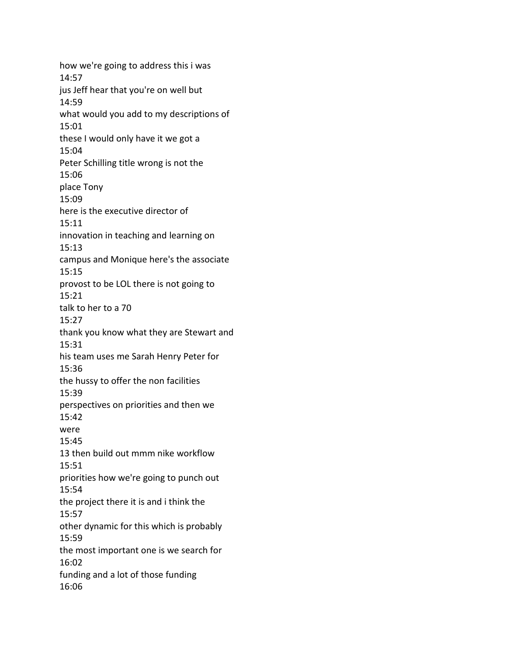how we're going to address this i was 14:57 jus Jeff hear that you're on well but 14:59 what would you add to my descriptions of 15:01 these I would only have it we got a 15:04 Peter Schilling title wrong is not the 15:06 place Tony 15:09 here is the executive director of 15:11 innovation in teaching and learning on 15:13 campus and Monique here's the associate 15:15 provost to be LOL there is not going to 15:21 talk to her to a 70 15:27 thank you know what they are Stewart and 15:31 his team uses me Sarah Henry Peter for 15:36 the hussy to offer the non facilities 15:39 perspectives on priorities and then we 15:42 were 15:45 13 then build out mmm nike workflow 15:51 priorities how we're going to punch out 15:54 the project there it is and i think the 15:57 other dynamic for this which is probably 15:59 the most important one is we search for 16:02 funding and a lot of those funding 16:06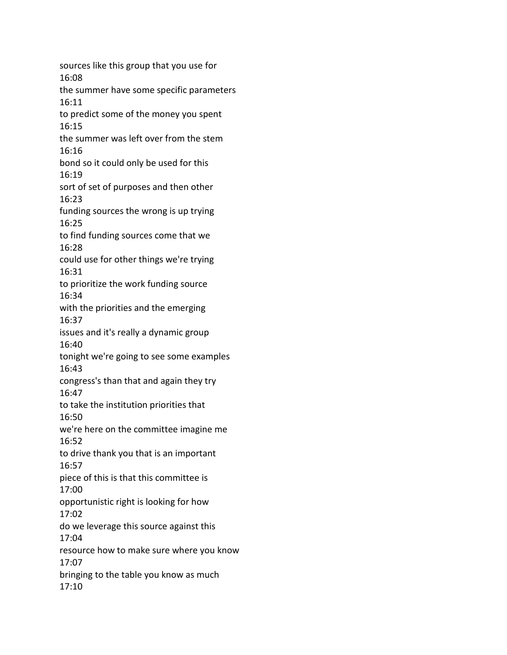sources like this group that you use for 16:08 the summer have some specific parameters 16:11 to predict some of the money you spent 16:15 the summer was left over from the stem 16:16 bond so it could only be used for this 16:19 sort of set of purposes and then other 16:23 funding sources the wrong is up trying 16:25 to find funding sources come that we 16:28 could use for other things we're trying 16:31 to prioritize the work funding source 16:34 with the priorities and the emerging 16:37 issues and it's really a dynamic group 16:40 tonight we're going to see some examples 16:43 congress's than that and again they try 16:47 to take the institution priorities that 16:50 we're here on the committee imagine me 16:52 to drive thank you that is an important 16:57 piece of this is that this committee is 17:00 opportunistic right is looking for how 17:02 do we leverage this source against this 17:04 resource how to make sure where you know 17:07 bringing to the table you know as much 17:10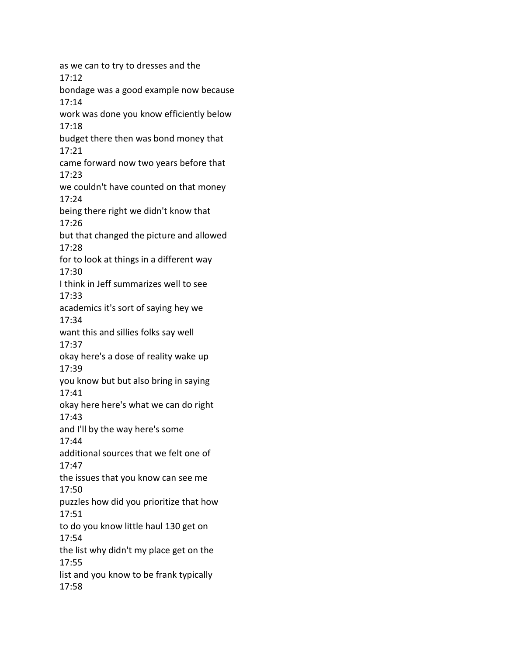as we can to try to dresses and the 17:12 bondage was a good example now because 17:14 work was done you know efficiently below 17:18 budget there then was bond money that 17:21 came forward now two years before that 17:23 we couldn't have counted on that money 17:24 being there right we didn't know that 17:26 but that changed the picture and allowed 17:28 for to look at things in a different way 17:30 I think in Jeff summarizes well to see 17:33 academics it's sort of saying hey we 17:34 want this and sillies folks say well 17:37 okay here's a dose of reality wake up 17:39 you know but but also bring in saying 17:41 okay here here's what we can do right 17:43 and I'll by the way here's some 17:44 additional sources that we felt one of 17:47 the issues that you know can see me 17:50 puzzles how did you prioritize that how 17:51 to do you know little haul 130 get on 17:54 the list why didn't my place get on the 17:55 list and you know to be frank typically 17:58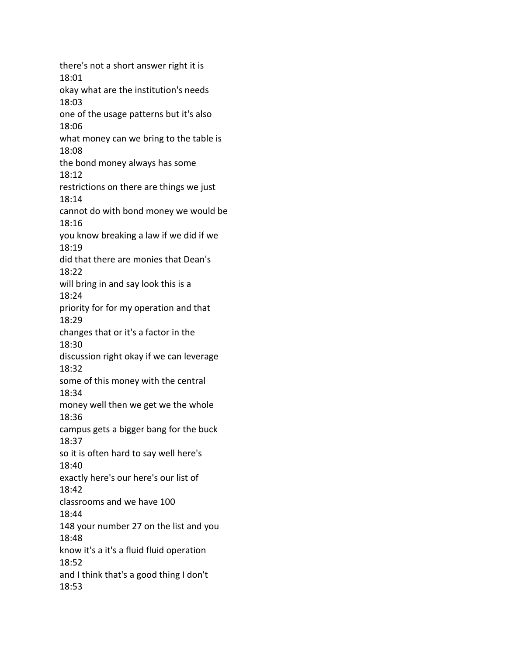there's not a short answer right it is 18:01 okay what are the institution's needs 18:03 one of the usage patterns but it's also 18:06 what money can we bring to the table is 18:08 the bond money always has some 18:12 restrictions on there are things we just 18:14 cannot do with bond money we would be 18:16 you know breaking a law if we did if we 18:19 did that there are monies that Dean's 18:22 will bring in and say look this is a 18:24 priority for for my operation and that 18:29 changes that or it's a factor in the 18:30 discussion right okay if we can leverage 18:32 some of this money with the central 18:34 money well then we get we the whole 18:36 campus gets a bigger bang for the buck 18:37 so it is often hard to say well here's 18:40 exactly here's our here's our list of 18:42 classrooms and we have 100 18:44 148 your number 27 on the list and you 18:48 know it's a it's a fluid fluid operation 18:52 and I think that's a good thing I don't 18:53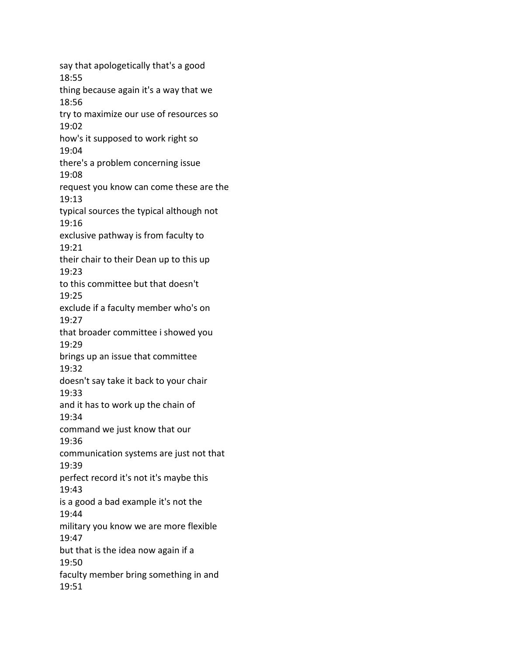say that apologetically that's a good 18:55 thing because again it's a way that we 18:56 try to maximize our use of resources so 19:02 how's it supposed to work right so 19:04 there's a problem concerning issue 19:08 request you know can come these are the 19:13 typical sources the typical although not 19:16 exclusive pathway is from faculty to 19:21 their chair to their Dean up to this up 19:23 to this committee but that doesn't 19:25 exclude if a faculty member who's on 19:27 that broader committee i showed you 19:29 brings up an issue that committee 19:32 doesn't say take it back to your chair 19:33 and it has to work up the chain of 19:34 command we just know that our 19:36 communication systems are just not that 19:39 perfect record it's not it's maybe this 19:43 is a good a bad example it's not the 19:44 military you know we are more flexible 19:47 but that is the idea now again if a 19:50 faculty member bring something in and 19:51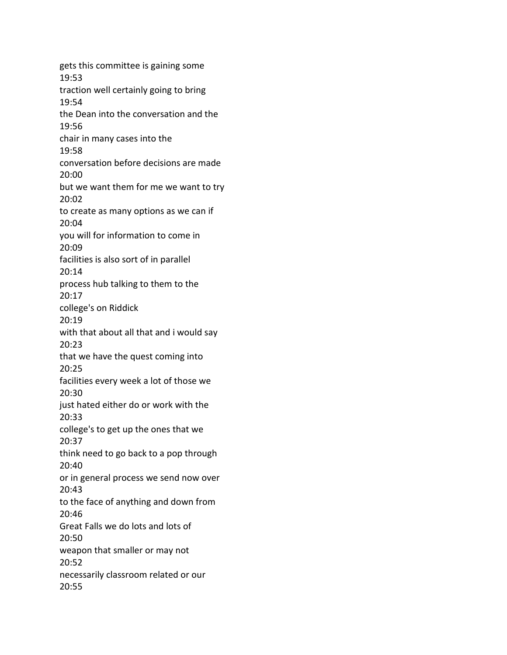gets this committee is gaining some 19:53 traction well certainly going to bring 19:54 the Dean into the conversation and the 19:56 chair in many cases into the 19:58 conversation before decisions are made 20:00 but we want them for me we want to try 20:02 to create as many options as we can if 20:04 you will for information to come in 20:09 facilities is also sort of in parallel 20:14 process hub talking to them to the 20:17 college's on Riddick 20:19 with that about all that and i would say 20:23 that we have the quest coming into 20:25 facilities every week a lot of those we 20:30 just hated either do or work with the 20:33 college's to get up the ones that we 20:37 think need to go back to a pop through 20:40 or in general process we send now over 20:43 to the face of anything and down from 20:46 Great Falls we do lots and lots of 20:50 weapon that smaller or may not 20:52 necessarily classroom related or our 20:55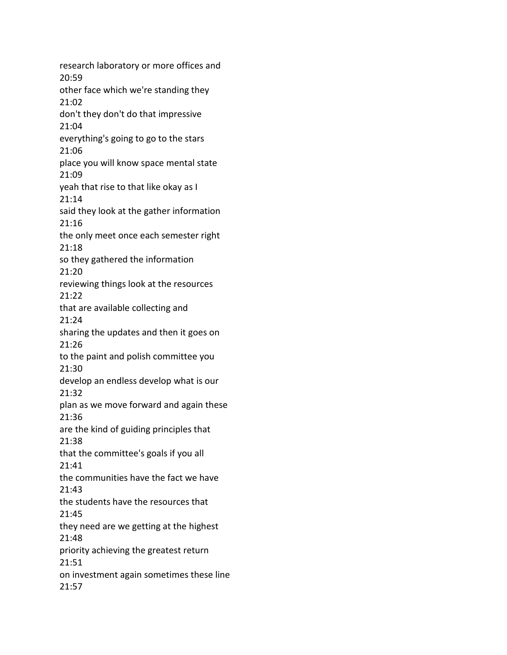research laboratory or more offices and 20:59 other face which we're standing they 21:02 don't they don't do that impressive 21:04 everything's going to go to the stars 21:06 place you will know space mental state 21:09 yeah that rise to that like okay as I 21:14 said they look at the gather information 21:16 the only meet once each semester right 21:18 so they gathered the information 21:20 reviewing things look at the resources 21:22 that are available collecting and 21:24 sharing the updates and then it goes on 21:26 to the paint and polish committee you 21:30 develop an endless develop what is our 21:32 plan as we move forward and again these 21:36 are the kind of guiding principles that 21:38 that the committee's goals if you all 21:41 the communities have the fact we have 21:43 the students have the resources that 21:45 they need are we getting at the highest 21:48 priority achieving the greatest return 21:51 on investment again sometimes these line 21:57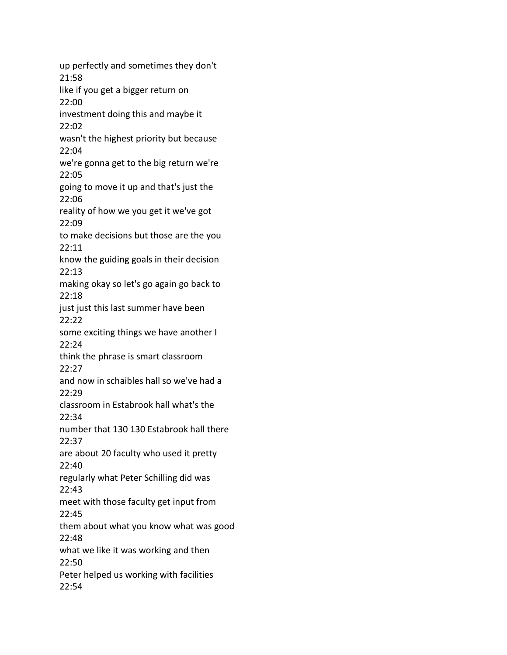up perfectly and sometimes they don't 21:58 like if you get a bigger return on 22:00 investment doing this and maybe it 22:02 wasn't the highest priority but because 22:04 we're gonna get to the big return we're 22:05 going to move it up and that's just the 22:06 reality of how we you get it we've got 22:09 to make decisions but those are the you 22:11 know the guiding goals in their decision 22:13 making okay so let's go again go back to 22:18 just just this last summer have been 22:22 some exciting things we have another I 22:24 think the phrase is smart classroom 22:27 and now in schaibles hall so we've had a 22:29 classroom in Estabrook hall what's the 22:34 number that 130 130 Estabrook hall there 22:37 are about 20 faculty who used it pretty 22:40 regularly what Peter Schilling did was 22:43 meet with those faculty get input from 22:45 them about what you know what was good 22:48 what we like it was working and then 22:50 Peter helped us working with facilities 22:54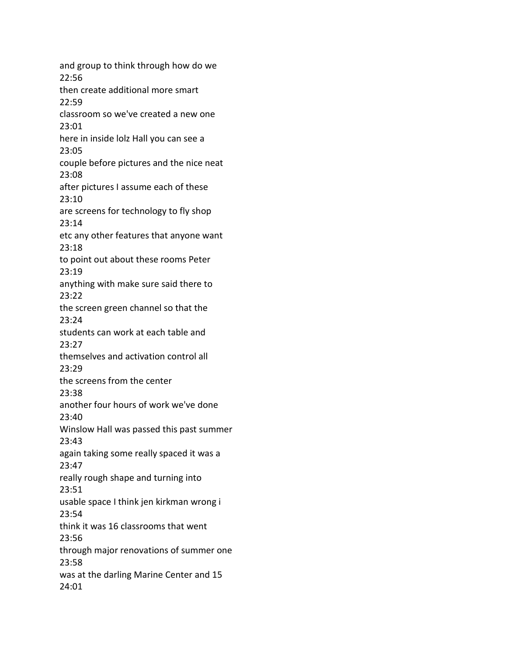and group to think through how do we 22:56 then create additional more smart 22:59 classroom so we've created a new one 23:01 here in inside lolz Hall you can see a 23:05 couple before pictures and the nice neat 23:08 after pictures I assume each of these 23:10 are screens for technology to fly shop 23:14 etc any other features that anyone want 23:18 to point out about these rooms Peter 23:19 anything with make sure said there to 23:22 the screen green channel so that the 23:24 students can work at each table and 23:27 themselves and activation control all 23:29 the screens from the center 23:38 another four hours of work we've done 23:40 Winslow Hall was passed this past summer 23:43 again taking some really spaced it was a 23:47 really rough shape and turning into 23:51 usable space I think jen kirkman wrong i 23:54 think it was 16 classrooms that went 23:56 through major renovations of summer one 23:58 was at the darling Marine Center and 15 24:01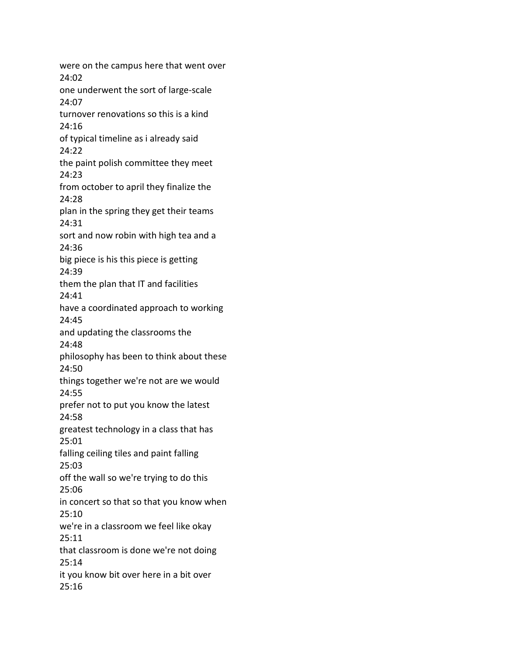were on the campus here that went over 24:02 one underwent the sort of large-scale 24:07 turnover renovations so this is a kind 24:16 of typical timeline as i already said 24:22 the paint polish committee they meet 24:23 from october to april they finalize the 24:28 plan in the spring they get their teams 24:31 sort and now robin with high tea and a 24:36 big piece is his this piece is getting 24:39 them the plan that IT and facilities 24:41 have a coordinated approach to working 24:45 and updating the classrooms the 24:48 philosophy has been to think about these 24:50 things together we're not are we would 24:55 prefer not to put you know the latest 24:58 greatest technology in a class that has 25:01 falling ceiling tiles and paint falling 25:03 off the wall so we're trying to do this 25:06 in concert so that so that you know when 25:10 we're in a classroom we feel like okay 25:11 that classroom is done we're not doing 25:14 it you know bit over here in a bit over 25:16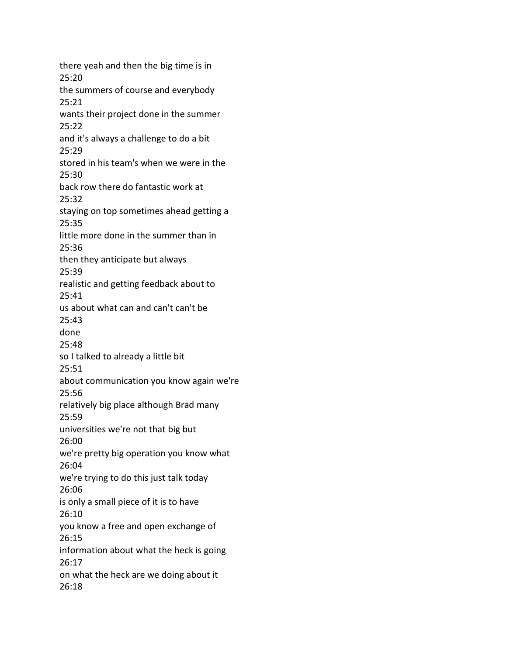there yeah and then the big time is in 25:20 the summers of course and everybody 25:21 wants their project done in the summer 25:22 and it's always a challenge to do a bit 25:29 stored in his team's when we were in the 25:30 back row there do fantastic work at 25:32 staying on top sometimes ahead getting a 25:35 little more done in the summer than in 25:36 then they anticipate but always 25:39 realistic and getting feedback about to 25:41 us about what can and can't can't be 25:43 done 25:48 so I talked to already a little bit 25:51 about communication you know again we're 25:56 relatively big place although Brad many 25:59 universities we're not that big but 26:00 we're pretty big operation you know what 26:04 we're trying to do this just talk today 26:06 is only a small piece of it is to have 26:10 you know a free and open exchange of 26:15 information about what the heck is going 26:17 on what the heck are we doing about it 26:18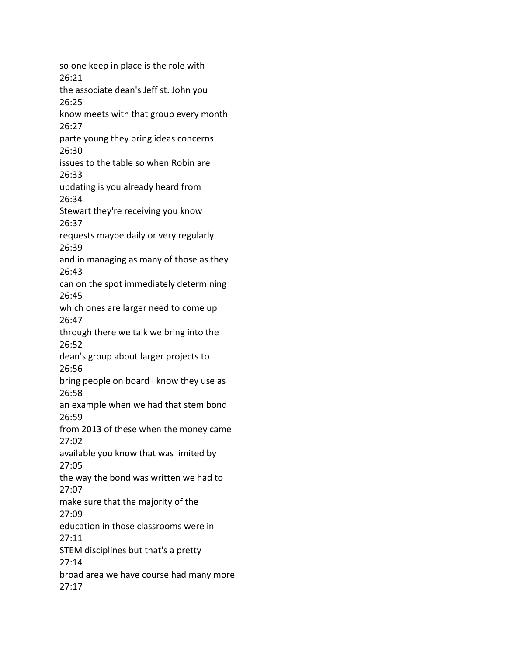so one keep in place is the role with 26:21 the associate dean's Jeff st. John you 26:25 know meets with that group every month 26:27 parte young they bring ideas concerns 26:30 issues to the table so when Robin are 26:33 updating is you already heard from 26:34 Stewart they're receiving you know 26:37 requests maybe daily or very regularly 26:39 and in managing as many of those as they 26:43 can on the spot immediately determining 26:45 which ones are larger need to come up 26:47 through there we talk we bring into the 26:52 dean's group about larger projects to 26:56 bring people on board i know they use as 26:58 an example when we had that stem bond 26:59 from 2013 of these when the money came 27:02 available you know that was limited by 27:05 the way the bond was written we had to 27:07 make sure that the majority of the 27:09 education in those classrooms were in 27:11 STEM disciplines but that's a pretty 27:14 broad area we have course had many more 27:17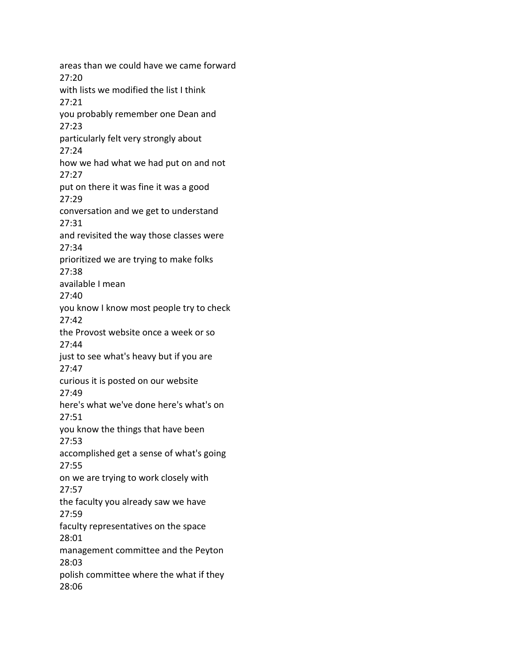areas than we could have we came forward 27:20 with lists we modified the list I think 27:21 you probably remember one Dean and 27:23 particularly felt very strongly about 27:24 how we had what we had put on and not 27:27 put on there it was fine it was a good 27:29 conversation and we get to understand 27:31 and revisited the way those classes were 27:34 prioritized we are trying to make folks 27:38 available I mean 27:40 you know I know most people try to check 27:42 the Provost website once a week or so 27:44 just to see what's heavy but if you are 27:47 curious it is posted on our website 27:49 here's what we've done here's what's on 27:51 you know the things that have been 27:53 accomplished get a sense of what's going 27:55 on we are trying to work closely with 27:57 the faculty you already saw we have 27:59 faculty representatives on the space 28:01 management committee and the Peyton 28:03 polish committee where the what if they 28:06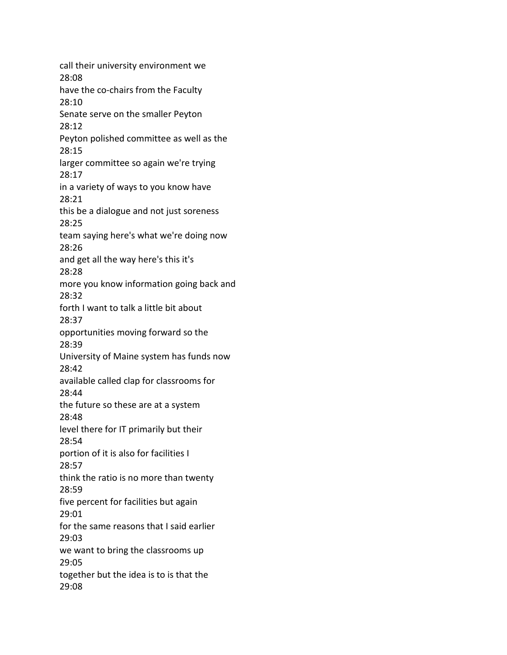call their university environment we 28:08 have the co-chairs from the Faculty 28:10 Senate serve on the smaller Peyton 28:12 Peyton polished committee as well as the 28:15 larger committee so again we're trying 28:17 in a variety of ways to you know have 28:21 this be a dialogue and not just soreness 28:25 team saying here's what we're doing now 28:26 and get all the way here's this it's 28:28 more you know information going back and 28:32 forth I want to talk a little bit about 28:37 opportunities moving forward so the 28:39 University of Maine system has funds now 28:42 available called clap for classrooms for 28:44 the future so these are at a system 28:48 level there for IT primarily but their 28:54 portion of it is also for facilities I 28:57 think the ratio is no more than twenty 28:59 five percent for facilities but again 29:01 for the same reasons that I said earlier 29:03 we want to bring the classrooms up 29:05 together but the idea is to is that the 29:08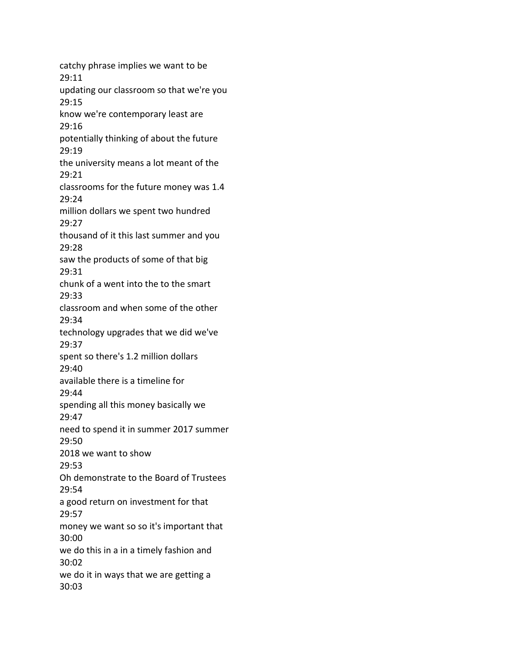catchy phrase implies we want to be 29:11 updating our classroom so that we're you 29:15 know we're contemporary least are 29:16 potentially thinking of about the future 29:19 the university means a lot meant of the 29:21 classrooms for the future money was 1.4 29:24 million dollars we spent two hundred 29:27 thousand of it this last summer and you 29:28 saw the products of some of that big 29:31 chunk of a went into the to the smart 29:33 classroom and when some of the other 29:34 technology upgrades that we did we've 29:37 spent so there's 1.2 million dollars 29:40 available there is a timeline for 29:44 spending all this money basically we 29:47 need to spend it in summer 2017 summer 29:50 2018 we want to show 29:53 Oh demonstrate to the Board of Trustees 29:54 a good return on investment for that 29:57 money we want so so it's important that 30:00 we do this in a in a timely fashion and 30:02 we do it in ways that we are getting a 30:03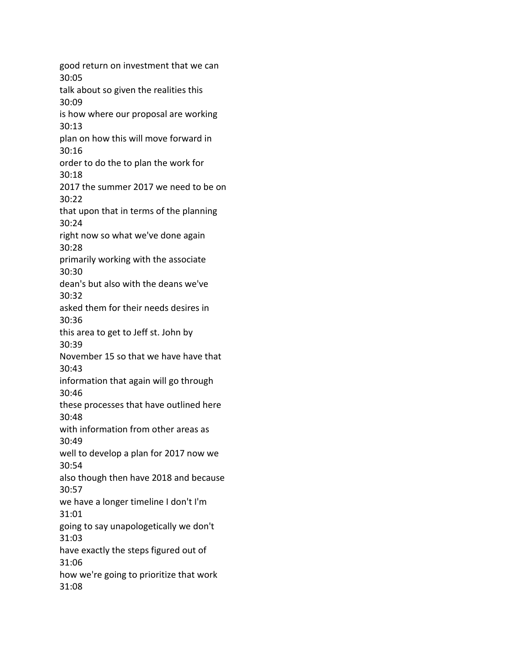good return on investment that we can 30:05 talk about so given the realities this 30:09 is how where our proposal are working 30:13 plan on how this will move forward in 30:16 order to do the to plan the work for 30:18 2017 the summer 2017 we need to be on 30:22 that upon that in terms of the planning 30:24 right now so what we've done again 30:28 primarily working with the associate 30:30 dean's but also with the deans we've 30:32 asked them for their needs desires in 30:36 this area to get to Jeff st. John by 30:39 November 15 so that we have have that 30:43 information that again will go through 30:46 these processes that have outlined here 30:48 with information from other areas as 30:49 well to develop a plan for 2017 now we 30:54 also though then have 2018 and because 30:57 we have a longer timeline I don't I'm 31:01 going to say unapologetically we don't 31:03 have exactly the steps figured out of 31:06 how we're going to prioritize that work 31:08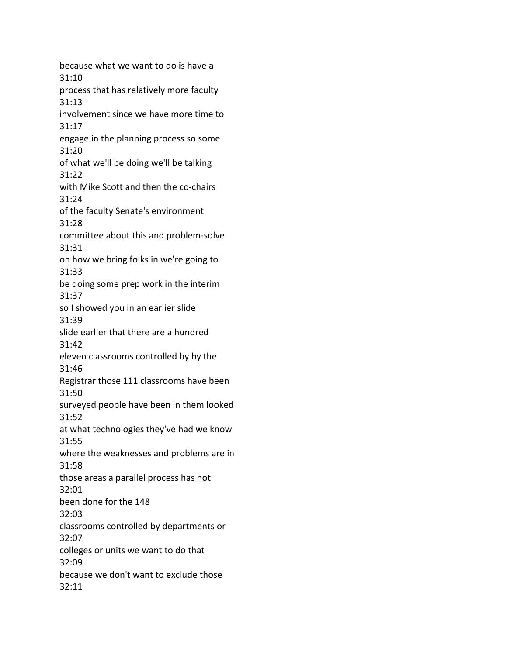because what we want to do is have a 31:10 process that has relatively more faculty 31:13 involvement since we have more time to 31:17 engage in the planning process so some 31:20 of what we'll be doing we'll be talking 31:22 with Mike Scott and then the co-chairs 31:24 of the faculty Senate's environment 31:28 committee about this and problem-solve 31:31 on how we bring folks in we're going to 31:33 be doing some prep work in the interim 31:37 so I showed you in an earlier slide 31:39 slide earlier that there are a hundred 31:42 eleven classrooms controlled by by the 31:46 Registrar those 111 classrooms have been 31:50 surveyed people have been in them looked 31:52 at what technologies they've had we know 31:55 where the weaknesses and problems are in 31:58 those areas a parallel process has not 32:01 been done for the 148 32:03 classrooms controlled by departments or 32:07 colleges or units we want to do that 32:09 because we don't want to exclude those 32:11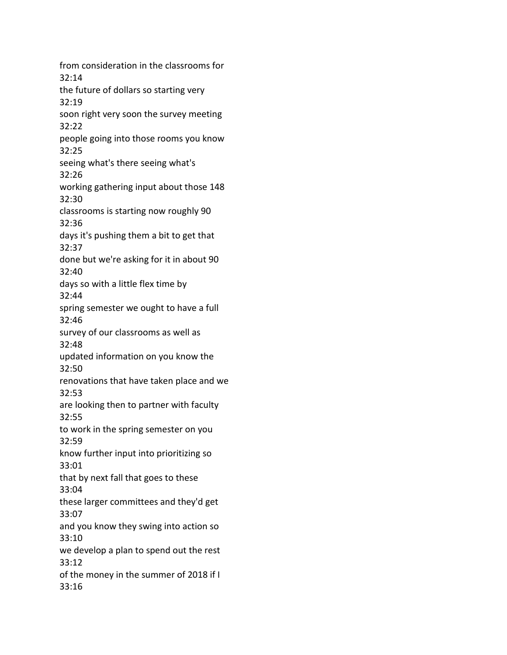from consideration in the classrooms for 32:14 the future of dollars so starting very 32:19 soon right very soon the survey meeting 32:22 people going into those rooms you know 32:25 seeing what's there seeing what's 32:26 working gathering input about those 148 32:30 classrooms is starting now roughly 90 32:36 days it's pushing them a bit to get that 32:37 done but we're asking for it in about 90 32:40 days so with a little flex time by 32:44 spring semester we ought to have a full 32:46 survey of our classrooms as well as 32:48 updated information on you know the 32:50 renovations that have taken place and we 32:53 are looking then to partner with faculty 32:55 to work in the spring semester on you 32:59 know further input into prioritizing so 33:01 that by next fall that goes to these 33:04 these larger committees and they'd get 33:07 and you know they swing into action so 33:10 we develop a plan to spend out the rest 33:12 of the money in the summer of 2018 if I 33:16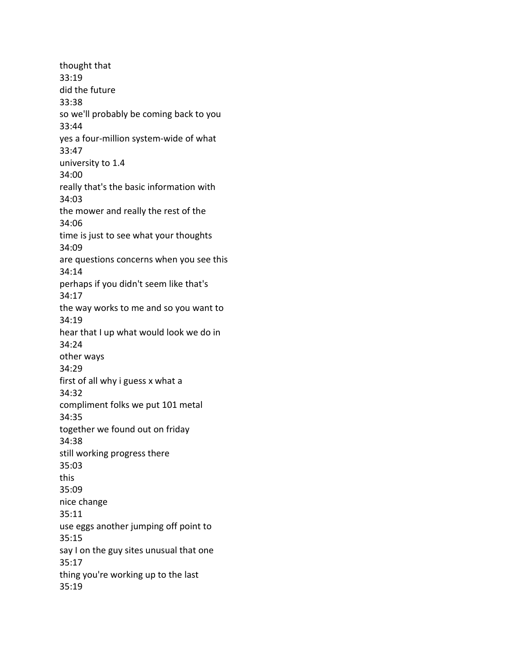thought that 33:19 did the future 33:38 so we'll probably be coming back to you 33:44 yes a four-million system-wide of what 33:47 university to 1.4 34:00 really that's the basic information with 34:03 the mower and really the rest of the 34:06 time is just to see what your thoughts 34:09 are questions concerns when you see this 34:14 perhaps if you didn't seem like that's 34:17 the way works to me and so you want to 34:19 hear that I up what would look we do in 34:24 other ways 34:29 first of all why i guess x what a 34:32 compliment folks we put 101 metal 34:35 together we found out on friday 34:38 still working progress there 35:03 this 35:09 nice change 35:11 use eggs another jumping off point to 35:15 say I on the guy sites unusual that one 35:17 thing you're working up to the last 35:19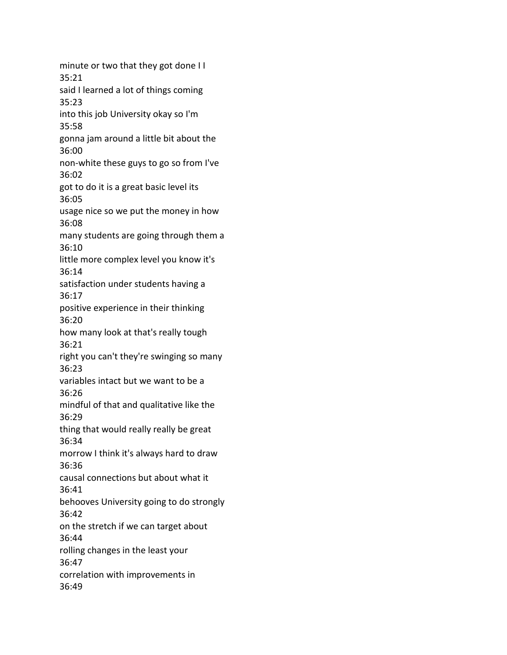minute or two that they got done I I 35:21 said I learned a lot of things coming 35:23 into this job University okay so I'm 35:58 gonna jam around a little bit about the 36:00 non-white these guys to go so from I've 36:02 got to do it is a great basic level its 36:05 usage nice so we put the money in how 36:08 many students are going through them a 36:10 little more complex level you know it's 36:14 satisfaction under students having a 36:17 positive experience in their thinking 36:20 how many look at that's really tough 36:21 right you can't they're swinging so many 36:23 variables intact but we want to be a 36:26 mindful of that and qualitative like the 36:29 thing that would really really be great 36:34 morrow I think it's always hard to draw 36:36 causal connections but about what it 36:41 behooves University going to do strongly 36:42 on the stretch if we can target about 36:44 rolling changes in the least your 36:47 correlation with improvements in 36:49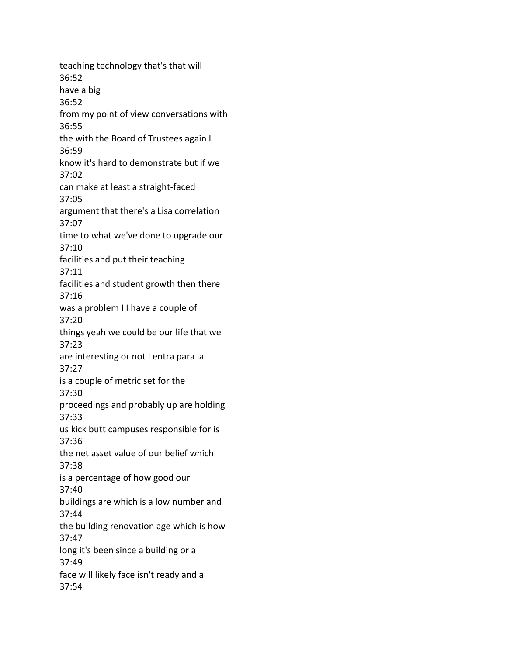teaching technology that's that will 36:52 have a big 36:52 from my point of view conversations with 36:55 the with the Board of Trustees again I 36:59 know it's hard to demonstrate but if we 37:02 can make at least a straight-faced 37:05 argument that there's a Lisa correlation 37:07 time to what we've done to upgrade our 37:10 facilities and put their teaching 37:11 facilities and student growth then there 37:16 was a problem I I have a couple of 37:20 things yeah we could be our life that we 37:23 are interesting or not I entra para la 37:27 is a couple of metric set for the 37:30 proceedings and probably up are holding 37:33 us kick butt campuses responsible for is 37:36 the net asset value of our belief which 37:38 is a percentage of how good our 37:40 buildings are which is a low number and 37:44 the building renovation age which is how 37:47 long it's been since a building or a 37:49 face will likely face isn't ready and a 37:54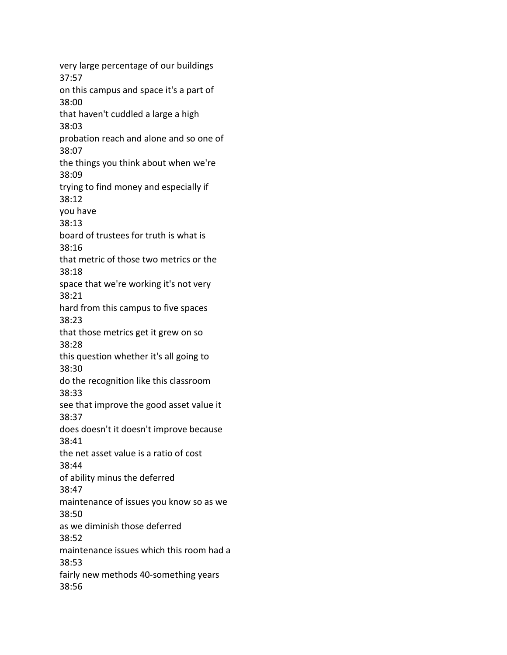very large percentage of our buildings 37:57 on this campus and space it's a part of 38:00 that haven't cuddled a large a high 38:03 probation reach and alone and so one of 38:07 the things you think about when we're 38:09 trying to find money and especially if 38:12 you have 38:13 board of trustees for truth is what is 38:16 that metric of those two metrics or the 38:18 space that we're working it's not very 38:21 hard from this campus to five spaces 38:23 that those metrics get it grew on so 38:28 this question whether it's all going to 38:30 do the recognition like this classroom 38:33 see that improve the good asset value it 38:37 does doesn't it doesn't improve because 38:41 the net asset value is a ratio of cost 38:44 of ability minus the deferred 38:47 maintenance of issues you know so as we 38:50 as we diminish those deferred 38:52 maintenance issues which this room had a 38:53 fairly new methods 40-something years 38:56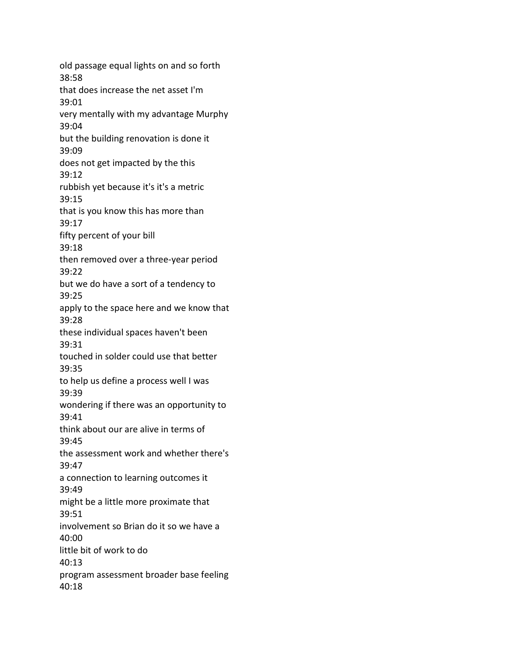old passage equal lights on and so forth 38:58 that does increase the net asset I'm 39:01 very mentally with my advantage Murphy 39:04 but the building renovation is done it 39:09 does not get impacted by the this 39:12 rubbish yet because it's it's a metric 39:15 that is you know this has more than 39:17 fifty percent of your bill 39:18 then removed over a three-year period 39:22 but we do have a sort of a tendency to 39:25 apply to the space here and we know that 39:28 these individual spaces haven't been 39:31 touched in solder could use that better 39:35 to help us define a process well I was 39:39 wondering if there was an opportunity to 39:41 think about our are alive in terms of 39:45 the assessment work and whether there's 39:47 a connection to learning outcomes it 39:49 might be a little more proximate that 39:51 involvement so Brian do it so we have a 40:00 little bit of work to do 40:13 program assessment broader base feeling 40:18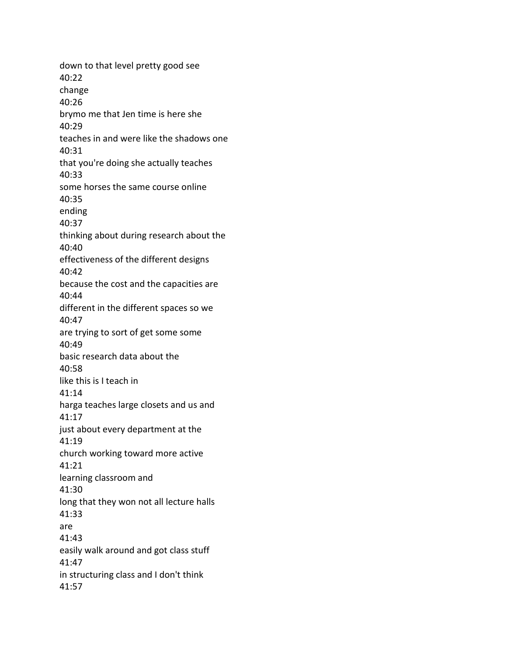down to that level pretty good see 40:22 change 40:26 brymo me that Jen time is here she 40:29 teaches in and were like the shadows one 40:31 that you're doing she actually teaches 40:33 some horses the same course online 40:35 ending 40:37 thinking about during research about the 40:40 effectiveness of the different designs 40:42 because the cost and the capacities are 40:44 different in the different spaces so we 40:47 are trying to sort of get some some 40:49 basic research data about the 40:58 like this is I teach in 41:14 harga teaches large closets and us and 41:17 just about every department at the 41:19 church working toward more active 41:21 learning classroom and 41:30 long that they won not all lecture halls 41:33 are 41:43 easily walk around and got class stuff 41:47 in structuring class and I don't think 41:57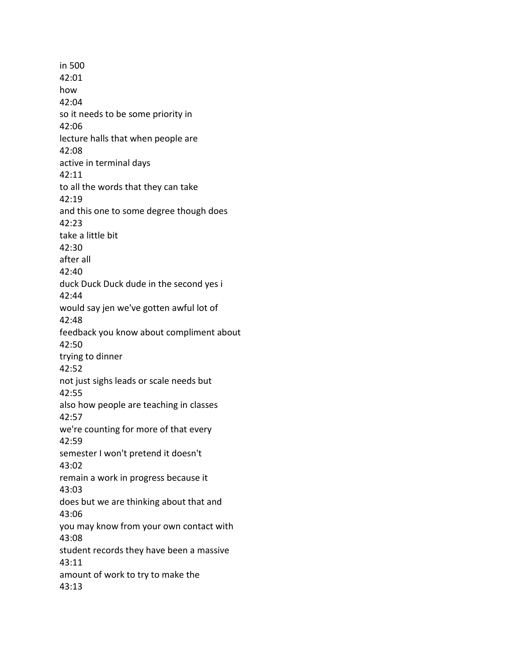in 500 42:01 how 42:04 so it needs to be some priority in 42:06 lecture halls that when people are 42:08 active in terminal days 42:11 to all the words that they can take 42:19 and this one to some degree though does 42:23 take a little bit 42:30 after all 42:40 duck Duck Duck dude in the second yes i 42:44 would say jen we've gotten awful lot of 42:48 feedback you know about compliment about 42:50 trying to dinner 42:52 not just sighs leads or scale needs but 42:55 also how people are teaching in classes 42:57 we're counting for more of that every 42:59 semester I won't pretend it doesn't 43:02 remain a work in progress because it 43:03 does but we are thinking about that and 43:06 you may know from your own contact with 43:08 student records they have been a massive 43:11 amount of work to try to make the 43:13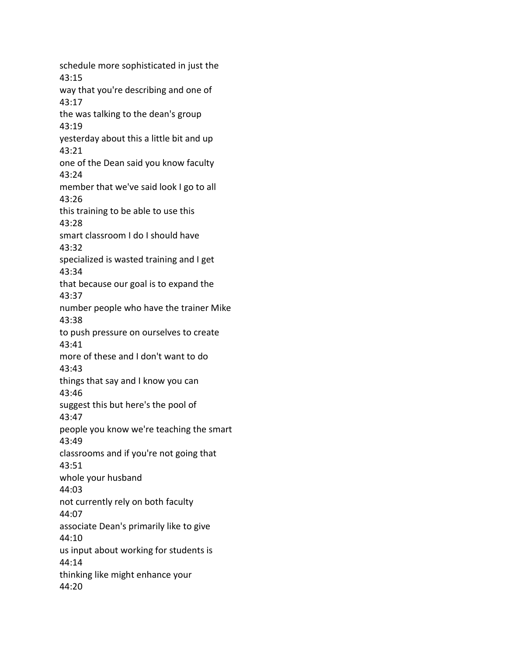schedule more sophisticated in just the 43:15 way that you're describing and one of 43:17 the was talking to the dean's group 43:19 yesterday about this a little bit and up 43:21 one of the Dean said you know faculty 43:24 member that we've said look I go to all 43:26 this training to be able to use this 43:28 smart classroom I do I should have 43:32 specialized is wasted training and I get 43:34 that because our goal is to expand the 43:37 number people who have the trainer Mike 43:38 to push pressure on ourselves to create 43:41 more of these and I don't want to do 43:43 things that say and I know you can 43:46 suggest this but here's the pool of 43:47 people you know we're teaching the smart 43:49 classrooms and if you're not going that 43:51 whole your husband 44:03 not currently rely on both faculty 44:07 associate Dean's primarily like to give 44:10 us input about working for students is 44:14 thinking like might enhance your 44:20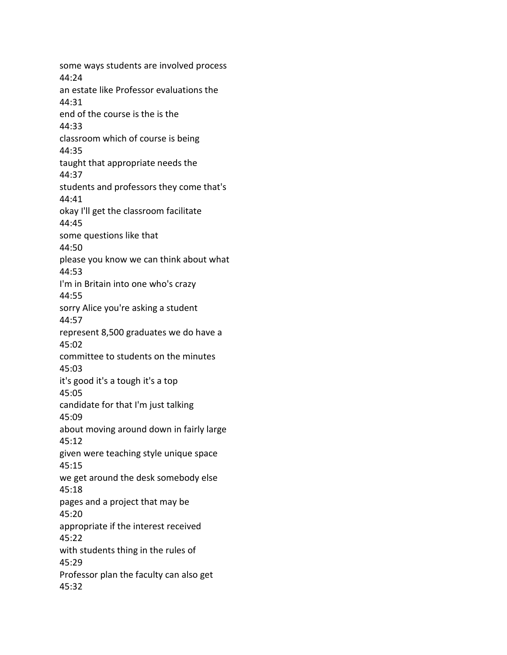some ways students are involved process 44:24 an estate like Professor evaluations the 44:31 end of the course is the is the 44:33 classroom which of course is being 44:35 taught that appropriate needs the 44:37 students and professors they come that's 44:41 okay I'll get the classroom facilitate 44:45 some questions like that 44:50 please you know we can think about what 44:53 I'm in Britain into one who's crazy 44:55 sorry Alice you're asking a student 44:57 represent 8,500 graduates we do have a 45:02 committee to students on the minutes 45:03 it's good it's a tough it's a top 45:05 candidate for that I'm just talking 45:09 about moving around down in fairly large 45:12 given were teaching style unique space 45:15 we get around the desk somebody else 45:18 pages and a project that may be 45:20 appropriate if the interest received 45:22 with students thing in the rules of 45:29 Professor plan the faculty can also get 45:32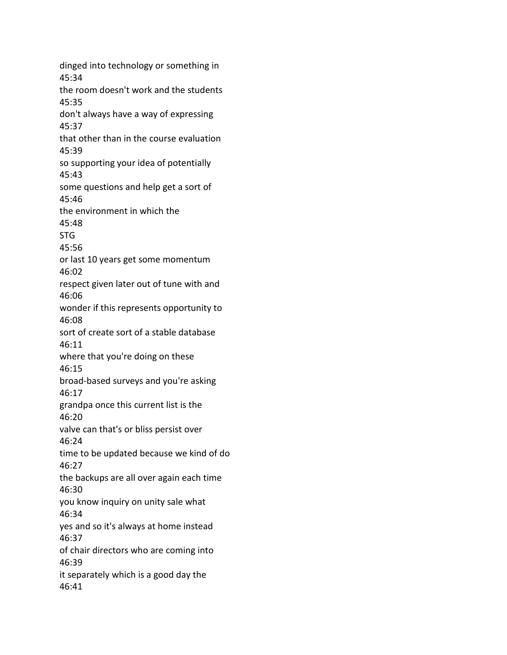dinged into technology or something in 45:34 the room doesn't work and the students 45:35 don't always have a way of expressing 45:37 that other than in the course evaluation 45:39 so supporting your idea of potentially 45:43 some questions and help get a sort of 45:46 the environment in which the 45:48 STG 45:56 or last 10 years get some momentum 46:02 respect given later out of tune with and 46:06 wonder if this represents opportunity to 46:08 sort of create sort of a stable database 46:11 where that you're doing on these 46:15 broad-based surveys and you're asking 46:17 grandpa once this current list is the 46:20 valve can that's or bliss persist over 46:24 time to be updated because we kind of do 46:27 the backups are all over again each time 46:30 you know inquiry on unity sale what 46:34 yes and so it's always at home instead 46:37 of chair directors who are coming into 46:39 it separately which is a good day the 46:41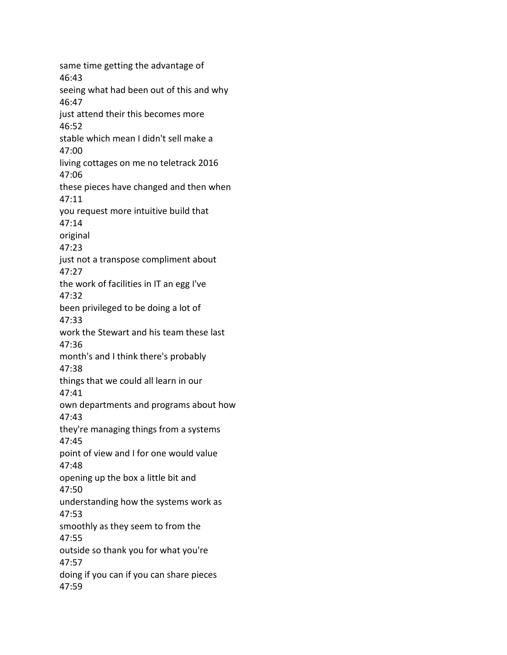same time getting the advantage of 46:43 seeing what had been out of this and why 46:47 just attend their this becomes more 46:52 stable which mean I didn't sell make a 47:00 living cottages on me no teletrack 2016 47:06 these pieces have changed and then when 47:11 you request more intuitive build that 47:14 original 47:23 just not a transpose compliment about 47:27 the work of facilities in IT an egg I've 47:32 been privileged to be doing a lot of 47:33 work the Stewart and his team these last 47:36 month's and I think there's probably 47:38 things that we could all learn in our 47:41 own departments and programs about how 47:43 they're managing things from a systems 47:45 point of view and I for one would value 47:48 opening up the box a little bit and 47:50 understanding how the systems work as 47:53 smoothly as they seem to from the 47:55 outside so thank you for what you're 47:57 doing if you can if you can share pieces 47:59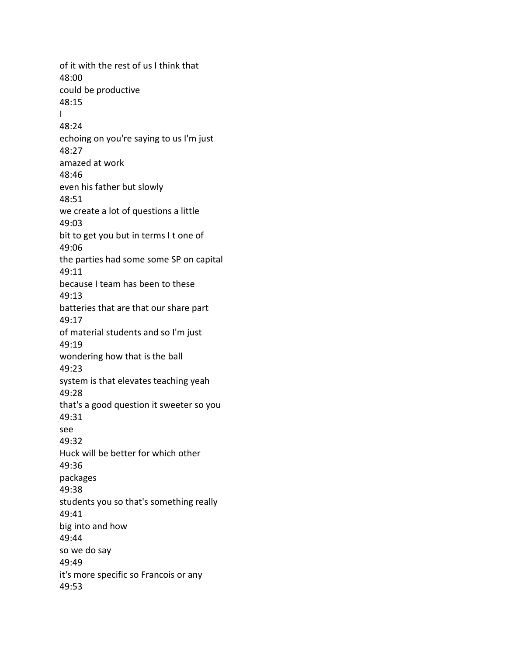of it with the rest of us I think that 48:00 could be productive 48:15 I 48:24 echoing on you're saying to us I'm just 48:27 amazed at work 48:46 even his father but slowly 48:51 we create a lot of questions a little 49:03 bit to get you but in terms I t one of 49:06 the parties had some some SP on capital 49:11 because I team has been to these 49:13 batteries that are that our share part 49:17 of material students and so I'm just 49:19 wondering how that is the ball 49:23 system is that elevates teaching yeah 49:28 that's a good question it sweeter so you 49:31 see 49:32 Huck will be better for which other 49:36 packages 49:38 students you so that's something really 49:41 big into and how 49:44 so we do say 49:49 it's more specific so Francois or any 49:53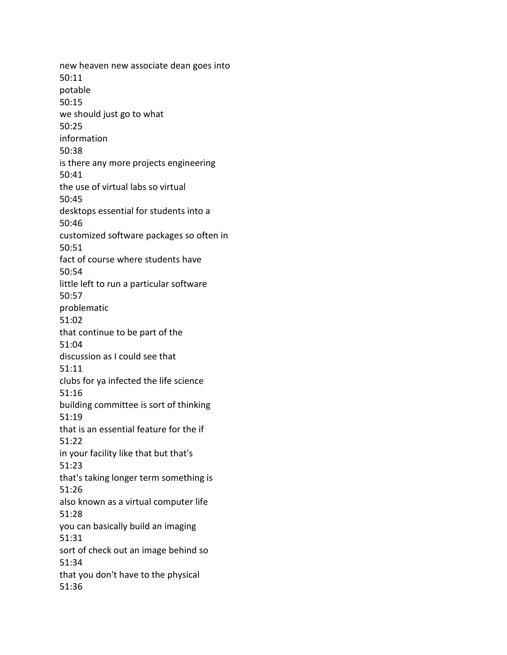new heaven new associate dean goes into 50:11 potable 50:15 we should just go to what 50:25 information 50:38 is there any more projects engineering 50:41 the use of virtual labs so virtual 50:45 desktops essential for students into a 50:46 customized software packages so often in 50:51 fact of course where students have 50:54 little left to run a particular software 50:57 problematic 51:02 that continue to be part of the 51:04 discussion as I could see that 51:11 clubs for ya infected the life science 51:16 building committee is sort of thinking 51:19 that is an essential feature for the if 51:22 in your facility like that but that's 51:23 that's taking longer term something is 51:26 also known as a virtual computer life 51:28 you can basically build an imaging 51:31 sort of check out an image behind so 51:34 that you don't have to the physical 51:36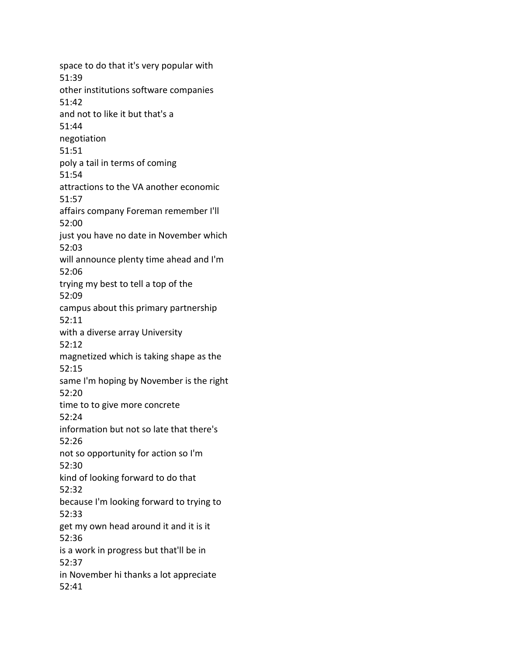space to do that it's very popular with 51:39 other institutions software companies 51:42 and not to like it but that's a 51:44 negotiation 51:51 poly a tail in terms of coming 51:54 attractions to the VA another economic 51:57 affairs company Foreman remember I'll 52:00 just you have no date in November which 52:03 will announce plenty time ahead and I'm 52:06 trying my best to tell a top of the 52:09 campus about this primary partnership 52:11 with a diverse array University 52:12 magnetized which is taking shape as the 52:15 same I'm hoping by November is the right 52:20 time to to give more concrete 52:24 information but not so late that there's 52:26 not so opportunity for action so I'm 52:30 kind of looking forward to do that 52:32 because I'm looking forward to trying to 52:33 get my own head around it and it is it 52:36 is a work in progress but that'll be in 52:37 in November hi thanks a lot appreciate 52:41